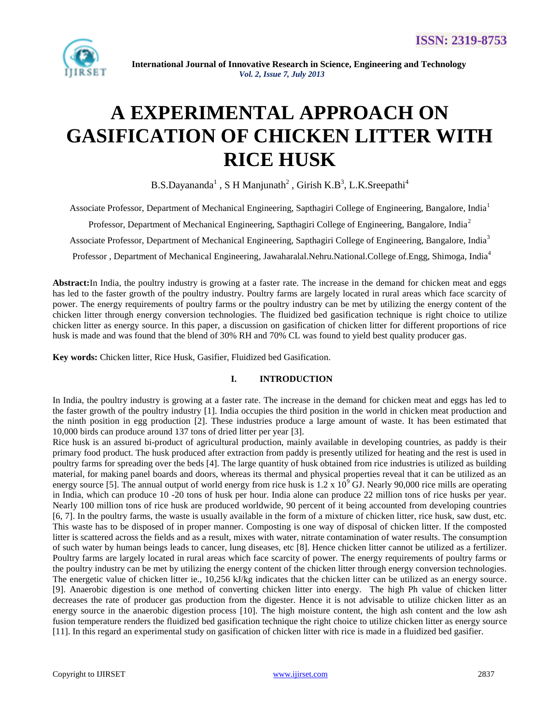

# **A EXPERIMENTAL APPROACH ON GASIFICATION OF CHICKEN LITTER WITH RICE HUSK**

B.S.Dayananda<sup>1</sup>, S H Manjunath<sup>2</sup>, Girish K.B<sup>3</sup>, L.K.Sreepathi<sup>4</sup>

Associate Professor, Department of Mechanical Engineering, Sapthagiri College of Engineering, Bangalore, India<sup>1</sup>

Professor, Department of Mechanical Engineering, Sapthagiri College of Engineering, Bangalore, India<sup>2</sup>

Associate Professor, Department of Mechanical Engineering, Sapthagiri College of Engineering, Bangalore, India<sup>3</sup>

Professor, Department of Mechanical Engineering, Jawaharalal.Nehru.National.College of.Engg, Shimoga, India<sup>4</sup>

**Abstract:**In India, the poultry industry is growing at a faster rate. The increase in the demand for chicken meat and eggs has led to the faster growth of the poultry industry. Poultry farms are largely located in rural areas which face scarcity of power. The energy requirements of poultry farms or the poultry industry can be met by utilizing the energy content of the chicken litter through energy conversion technologies. The fluidized bed gasification technique is right choice to utilize chicken litter as energy source. In this paper, a discussion on gasification of chicken litter for different proportions of rice husk is made and was found that the blend of 30% RH and 70% CL was found to yield best quality producer gas.

**Key words:** Chicken litter, Rice Husk, Gasifier, Fluidized bed Gasification.

### **I. INTRODUCTION**

In India, the poultry industry is growing at a faster rate. The increase in the demand for chicken meat and eggs has led to the faster growth of the poultry industry [1]. India occupies the third position in the world in chicken meat production and the ninth position in egg production [2]. These industries produce a large amount of waste. It has been estimated that 10,000 birds can produce around 137 tons of dried litter per year [3].

Rice husk is an assured bi-product of agricultural production, mainly available in developing countries, as paddy is their primary food product. The husk produced after extraction from paddy is presently utilized for heating and the rest is used in poultry farms for spreading over the beds [4]. The large quantity of husk obtained from rice industries is utilized as building material, for making panel boards and doors, whereas its thermal and physical properties reveal that it can be utilized as an energy source [5]. The annual output of world energy from rice husk is  $1.2 \times 10^9$  GJ. Nearly 90,000 rice mills are operating in India, which can produce 10 -20 tons of husk per hour. India alone can produce 22 million tons of rice husks per year. Nearly 100 million tons of rice husk are produced worldwide, 90 percent of it being accounted from developing countries [6, 7]. In the poultry farms, the waste is usually available in the form of a mixture of chicken litter, rice husk, saw dust, etc. This waste has to be disposed of in proper manner. Composting is one way of disposal of chicken litter. If the composted litter is scattered across the fields and as a result, mixes with water, nitrate contamination of water results. The consumption of such water by human beings leads to cancer, lung diseases, etc [8]. Hence chicken litter cannot be utilized as a fertilizer. Poultry farms are largely located in rural areas which face scarcity of power. The energy requirements of poultry farms or the poultry industry can be met by utilizing the energy content of the chicken litter through energy conversion technologies. The energetic value of chicken litter ie., 10,256 kJ/kg indicates that the chicken litter can be utilized as an energy source. [9]. Anaerobic digestion is one method of converting chicken litter into energy. The high Ph value of chicken litter decreases the rate of producer gas production from the digester. Hence it is not advisable to utilize chicken litter as an energy source in the anaerobic digestion process [10]. The high moisture content, the high ash content and the low ash fusion temperature renders the fluidized bed gasification technique the right choice to utilize chicken litter as energy source [11]. In this regard an experimental study on gasification of chicken litter with rice is made in a fluidized bed gasifier.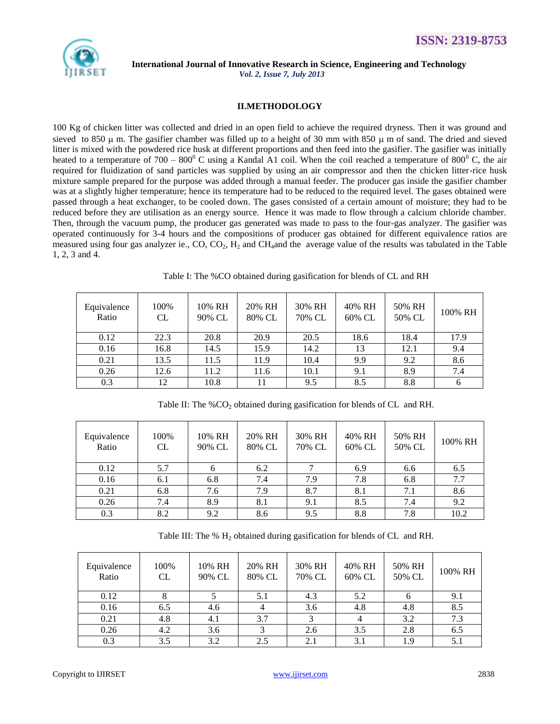

**ISSN: 2319-8753**

 **International Journal of Innovative Research in Science, Engineering and Technology** *Vol. 2, Issue 7, July 2013*

## **II.METHODOLOGY**

100 Kg of chicken litter was collected and dried in an open field to achieve the required dryness. Then it was ground and sieved to 850  $\mu$  m. The gasifier chamber was filled up to a height of 30 mm with 850  $\mu$  m of sand. The dried and sieved litter is mixed with the powdered rice husk at different proportions and then feed into the gasifier. The gasifier was initially heated to a temperature of 700 – 800<sup>0</sup> C using a Kandal A1 coil. When the coil reached a temperature of 800<sup>0</sup> C, the air required for fluidization of sand particles was supplied by using an air compressor and then the chicken litter-rice husk mixture sample prepared for the purpose was added through a manual feeder. The producer gas inside the gasifier chamber was at a slightly higher temperature; hence its temperature had to be reduced to the required level. The gases obtained were passed through a heat exchanger, to be cooled down. The gases consisted of a certain amount of moisture; they had to be reduced before they are utilisation as an energy source. Hence it was made to flow through a calcium chloride chamber. Then, through the vacuum pump, the producer gas generated was made to pass to the four-gas analyzer. The gasifier was operated continuously for 3-4 hours and the compositions of producer gas obtained for different equivalence ratios are measured using four gas analyzer ie.,  $CO$ ,  $CO_2$ ,  $H_2$  and  $CH_4$ and the average value of the results was tabulated in the Table 1, 2, 3 and 4.

| Equivalence<br>Ratio | 100%<br>CL | 10% RH<br>90% CL | 20% RH<br>80% CL | 30% RH<br>70% CL | 40% RH<br>60% CL | 50% RH<br>50% CL | 100% RH |
|----------------------|------------|------------------|------------------|------------------|------------------|------------------|---------|
| 0.12                 | 22.3       | 20.8             | 20.9             | 20.5             | 18.6             | 18.4             | 17.9    |
| 0.16                 | 16.8       | 14.5             | 15.9             | 14.2             | 13               | 12.1             | 9.4     |
| 0.21                 | 13.5       | 11.5             | 11.9             | 10.4             | 9.9              | 9.2              | 8.6     |
| 0.26                 | 12.6       | 11.2             | 11.6             | 10.1             | 9.1              | 8.9              | 7.4     |
| 0.3                  | 12         | 10.8             | 11               | 9.5              | 8.5              | 8.8              | 6       |

Table I: The %CO obtained during gasification for blends of CL and RH

| Table II: The $%CO2$ obtained during gasification for blends of CL and RH. |  |
|----------------------------------------------------------------------------|--|
|----------------------------------------------------------------------------|--|

| Equivalence<br>Ratio | 100%<br>CL | 10% RH<br>90% CL | 20% RH<br>80% CL | 30% RH<br>70% CL | 40% RH<br>60% CL | 50% RH<br>50% CL | 100% RH |
|----------------------|------------|------------------|------------------|------------------|------------------|------------------|---------|
| 0.12                 | 5.7        |                  | 6.2              |                  | 6.9              | 6.6              | 6.5     |
| 0.16                 | 6.1        | 6.8              | 7.4              | 7.9              | 7.8              | 6.8              | 7.7     |
| 0.21                 | 6.8        | 7.6              | 7.9              | 8.7              | 8.1              | 7.1              | 8.6     |
| 0.26                 | 7.4        | 8.9              | 8.1              | 9.1              | 8.5              | 7.4              | 9.2     |
| 0.3                  | 8.2        | 9.2              | 8.6              | 9.5              | 8.8              | 7.8              | 10.2    |

Table III: The %  $H_2$  obtained during gasification for blends of CL and RH.

| Equivalence<br>Ratio | 100%<br>CL | 10% RH<br>90% CL | 20% RH<br>80% CL | 30% RH<br>70% CL | 40% RH<br>60% CL | 50% RH<br>50% CL | 100% RH |
|----------------------|------------|------------------|------------------|------------------|------------------|------------------|---------|
| 0.12                 |            |                  | 5.1              | 4.3              | 5.2              |                  | 9.1     |
| 0.16                 | 6.5        | 4.6              |                  | 3.6              | 4.8              | 4.8              | 8.5     |
| 0.21                 | 4.8        | 4.1              | 3.7              |                  |                  | 3.2              | 7.3     |
| 0.26                 | 4.2        | 3.6              |                  | 2.6              | 3.5              | 2.8              | 6.5     |
| 0.3                  | 3.5        | 3.2              | 2.5              | 2.1              | 3.1              | 1.9              | 5.1     |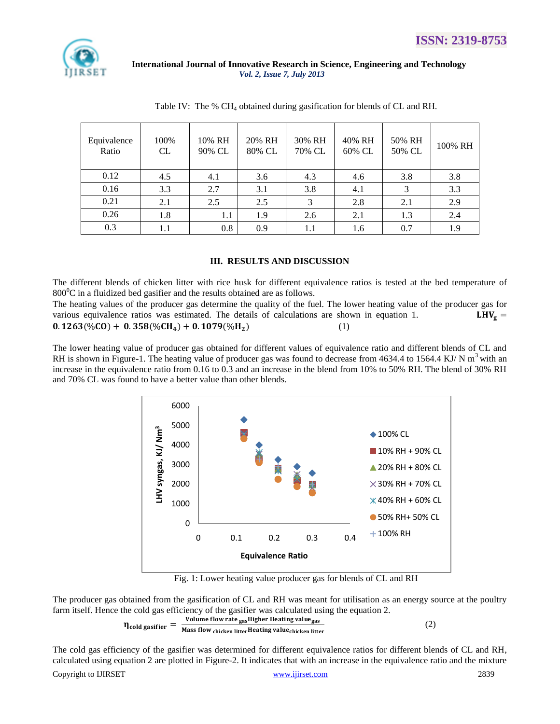

| Equivalence<br>Ratio | 100%<br><b>CL</b> | 10% RH<br>90% CL | 20% RH<br>80% CL | 30% RH<br>70% CL | 40% RH<br>60% CL | 50% RH<br>50% CL | 100% RH |
|----------------------|-------------------|------------------|------------------|------------------|------------------|------------------|---------|
| 0.12                 | 4.5               | 4.1              | 3.6              | 4.3              | 4.6              | 3.8              | 3.8     |
| 0.16                 | 3.3               | 2.7              | 3.1              | 3.8              | 4.1              | 3                | 3.3     |
| 0.21                 | 2.1               | 2.5              | 2.5              | 3                | 2.8              | 2.1              | 2.9     |
| 0.26                 | 1.8               | 1.1              | 1.9              | 2.6              | 2.1              | 1.3              | 2.4     |
| 0.3                  | 1.1               | 0.8              | 0.9              | 1.1              | 1.6              | 0.7              | 1.9     |

Table IV: The % CH<sub>4</sub> obtained during gasification for blends of CL and RH.

## **III. RESULTS AND DISCUSSION**

The different blends of chicken litter with rice husk for different equivalence ratios is tested at the bed temperature of  $800^{\circ}$ C in a fluidized bed gasifier and the results obtained are as follows.

The heating values of the producer gas determine the quality of the fuel. The lower heating value of the producer gas for various equivalence ratios was estimated. The details of calculations are shown in equation 1.  $LHV_g$ various equivalence ratios was estimated. The details of calculations are shown in equation 1. 0. 1263(%CO) +  $0.358$ (%CH<sub>4</sub>) + 0. 1079(%H<sub>2</sub>)  $(1)$ 

The lower heating value of producer gas obtained for different values of equivalence ratio and different blends of CL and RH is shown in Figure-1. The heating value of producer gas was found to decrease from  $4634.4$  to  $1564.4$  KJ/N m<sup>3</sup> with an increase in the equivalence ratio from 0.16 to 0.3 and an increase in the blend from 10% to 50% RH. The blend of 30% RH and 70% CL was found to have a better value than other blends.



Fig. 1: Lower heating value producer gas for blends of CL and RH

The producer gas obtained from the gasification of CL and RH was meant for utilisation as an energy source at the poultry farm itself. Hence the cold gas efficiency of the gasifier was calculated using the equation 2.

$$
\eta_{\text{cold gasifier}} = \frac{\text{Volume flow rate}_{\text{gas}} \text{Higher Heating value}_{\text{calcken litter}}}{\text{Mass flow}_{\text{chicken litter}} \text{Heating value}_{\text{chicken litter}}} \tag{2}
$$

Copyright to IJIRSET [www.ijirset.com](http://www.ijirset.com/) 2839 The cold gas efficiency of the gasifier was determined for different equivalence ratios for different blends of CL and RH, calculated using equation 2 are plotted in Figure-2. It indicates that with an increase in the equivalence ratio and the mixture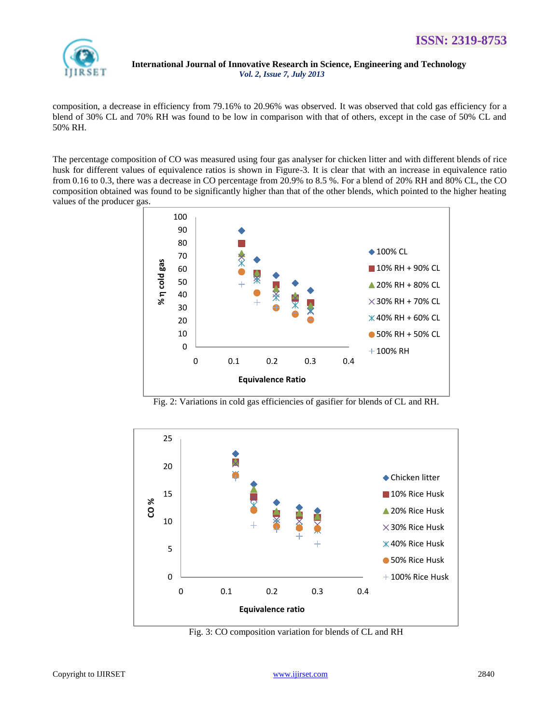

composition, a decrease in efficiency from 79.16% to 20.96% was observed. It was observed that cold gas efficiency for a blend of 30% CL and 70% RH was found to be low in comparison with that of others, except in the case of 50% CL and 50% RH.

The percentage composition of CO was measured using four gas analyser for chicken litter and with different blends of rice husk for different values of equivalence ratios is shown in Figure-3. It is clear that with an increase in equivalence ratio from 0.16 to 0.3, there was a decrease in CO percentage from 20.9% to 8.5 %. For a blend of 20% RH and 80% CL, the CO composition obtained was found to be significantly higher than that of the other blends, which pointed to the higher heating values of the producer gas.



Fig. 2: Variations in cold gas efficiencies of gasifier for blends of CL and RH.



Fig. 3: CO composition variation for blends of CL and RH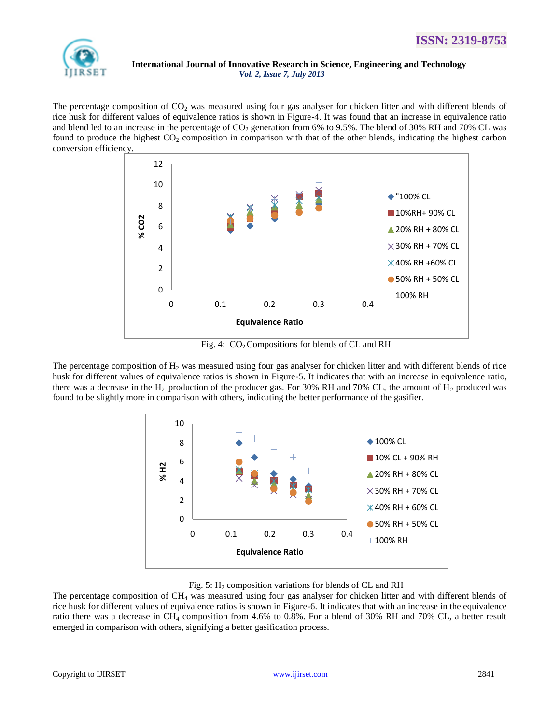

The percentage composition of  $CO<sub>2</sub>$  was measured using four gas analyser for chicken litter and with different blends of rice husk for different values of equivalence ratios is shown in Figure-4. It was found that an increase in equivalence ratio and blend led to an increase in the percentage of  $CO<sub>2</sub>$  generation from 6% to 9.5%. The blend of 30% RH and 70% CL was found to produce the highest  $CO<sub>2</sub>$  composition in comparison with that of the other blends, indicating the highest carbon conversion efficiency.



Fig. 4:  $CO<sub>2</sub> Compositions for blends of CL and RH$ 

The percentage composition of  $H_2$  was measured using four gas analyser for chicken litter and with different blends of rice husk for different values of equivalence ratios is shown in Figure-5. It indicates that with an increase in equivalence ratio, there was a decrease in the  $H_2$  production of the producer gas. For 30% RH and 70% CL, the amount of  $H_2$  produced was found to be slightly more in comparison with others, indicating the better performance of the gasifier.



# Fig. 5:  $H_2$  composition variations for blends of CL and RH

The percentage composition of  $CH_4$  was measured using four gas analyser for chicken litter and with different blends of rice husk for different values of equivalence ratios is shown in Figure-6. It indicates that with an increase in the equivalence ratio there was a decrease in CH<sub>4</sub> composition from 4.6% to 0.8%. For a blend of 30% RH and 70% CL, a better result emerged in comparison with others, signifying a better gasification process.